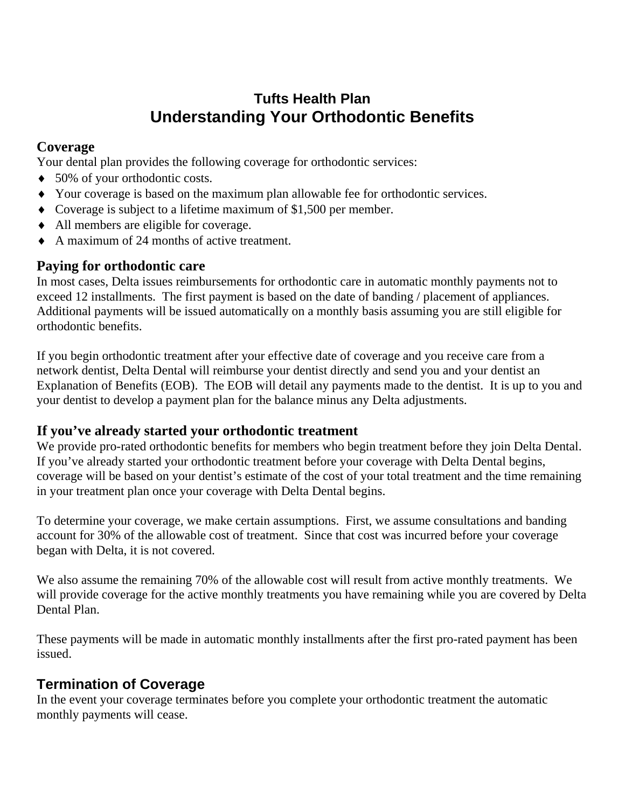## **Tufts Health Plan Understanding Your Orthodontic Benefits**

### **Coverage**

Your dental plan provides the following coverage for orthodontic services:

- ♦ 50% of your orthodontic costs.
- ♦ Your coverage is based on the maximum plan allowable fee for orthodontic services.
- ♦ Coverage is subject to a lifetime maximum of \$1,500 per member.
- ♦ All members are eligible for coverage.
- ♦ A maximum of 24 months of active treatment.

### **Paying for orthodontic care**

In most cases, Delta issues reimbursements for orthodontic care in automatic monthly payments not to exceed 12 installments. The first payment is based on the date of banding / placement of appliances. Additional payments will be issued automatically on a monthly basis assuming you are still eligible for orthodontic benefits.

If you begin orthodontic treatment after your effective date of coverage and you receive care from a network dentist, Delta Dental will reimburse your dentist directly and send you and your dentist an Explanation of Benefits (EOB). The EOB will detail any payments made to the dentist. It is up to you and your dentist to develop a payment plan for the balance minus any Delta adjustments.

#### **If you've already started your orthodontic treatment**

We provide pro-rated orthodontic benefits for members who begin treatment before they join Delta Dental. If you've already started your orthodontic treatment before your coverage with Delta Dental begins, coverage will be based on your dentist's estimate of the cost of your total treatment and the time remaining in your treatment plan once your coverage with Delta Dental begins.

To determine your coverage, we make certain assumptions. First, we assume consultations and banding account for 30% of the allowable cost of treatment. Since that cost was incurred before your coverage began with Delta, it is not covered.

We also assume the remaining 70% of the allowable cost will result from active monthly treatments. We will provide coverage for the active monthly treatments you have remaining while you are covered by Delta Dental Plan.

These payments will be made in automatic monthly installments after the first pro-rated payment has been issued.

## **Termination of Coverage**

In the event your coverage terminates before you complete your orthodontic treatment the automatic monthly payments will cease.